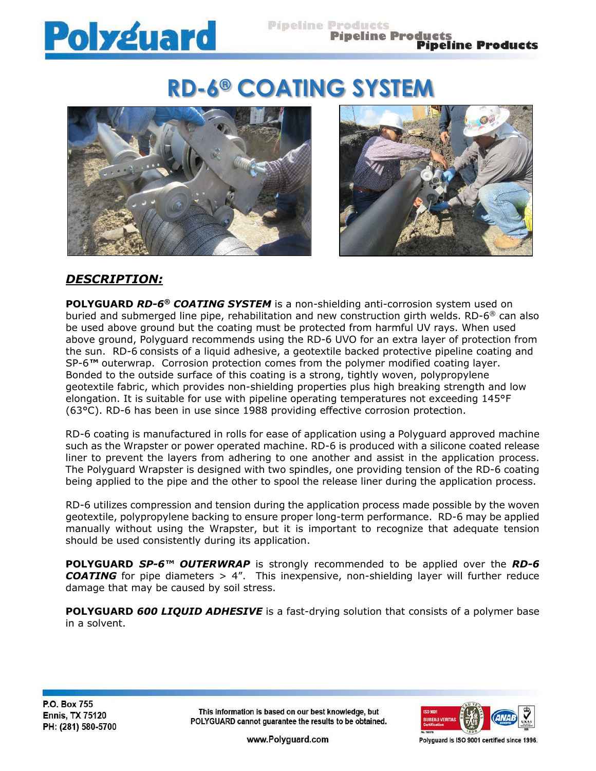# **Polyguard**

# **RD-6® COATING SYSTEM**





# *DESCRIPTION:*

**POLYGUARD** *RD-6® COATING SYSTEM* is a non-shielding anti-corrosion system used on buried and submerged line pipe, rehabilitation and new construction girth welds. RD-6® can also be used above ground but the coating must be protected from harmful UV rays. When used above ground, Polyguard recommends using the RD-6 UVO for an extra layer of protection from the sun. RD-6 consists of a liquid adhesive, a geotextile backed protective pipeline coating and SP-6*™* outerwrap. Corrosion protection comes from the polymer modified coating layer. Bonded to the outside surface of this coating is a strong, tightly woven, polypropylene geotextile fabric, which provides non-shielding properties plus high breaking strength and low elongation. It is suitable for use with pipeline operating temperatures not exceeding 145°F (63°C). RD-6 has been in use since 1988 providing effective corrosion protection.

RD-6 coating is manufactured in rolls for ease of application using a Polyguard approved machine such as the Wrapster or power operated machine. RD-6 is produced with a silicone coated release liner to prevent the layers from adhering to one another and assist in the application process. The Polyguard Wrapster is designed with two spindles, one providing tension of the RD-6 coating being applied to the pipe and the other to spool the release liner during the application process.

RD-6 utilizes compression and tension during the application process made possible by the woven geotextile, polypropylene backing to ensure proper long-term performance. RD-6 may be applied manually without using the Wrapster, but it is important to recognize that adequate tension should be used consistently during its application.

**POLYGUARD** *SP-6™ OUTERWRAP* is strongly recommended to be applied over the *RD-6*  **COATING** for pipe diameters > 4". This inexpensive, non-shielding layer will further reduce damage that may be caused by soil stress.

**POLYGUARD** *600 LIQUID ADHESIVE* is a fast-drying solution that consists of a polymer base in a solvent.

This information is based on our best knowledge, but POLYGUARD cannot guarantee the results to be obtained.



www.Polyguard.com